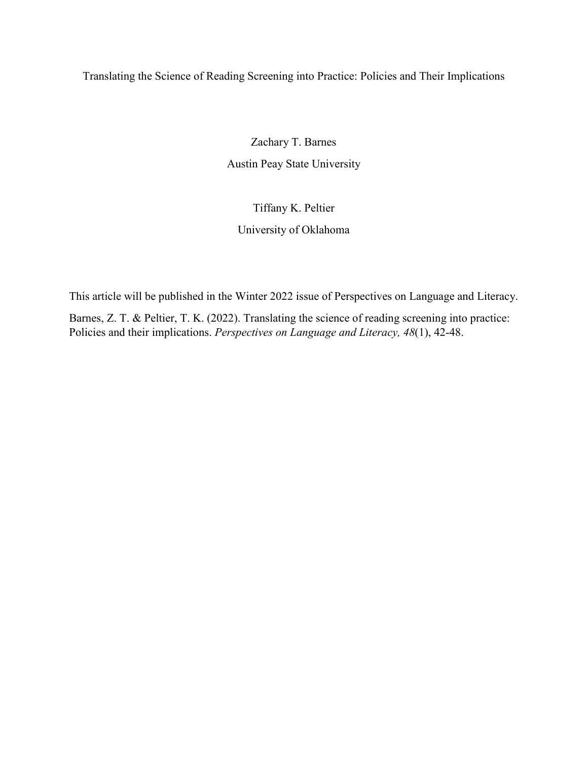Translating the Science of Reading Screening into Practice: Policies and Their Implications

Zachary T. Barnes Austin Peay State University

# Tiffany K. Peltier University of Oklahoma

This article will be published in the Winter 2022 issue of Perspectives on Language and Literacy.

Barnes, Z. T. & Peltier, T. K. (2022). Translating the science of reading screening into practice: Policies and their implications. *Perspectives on Language and Literacy, 48*(1), 42-48.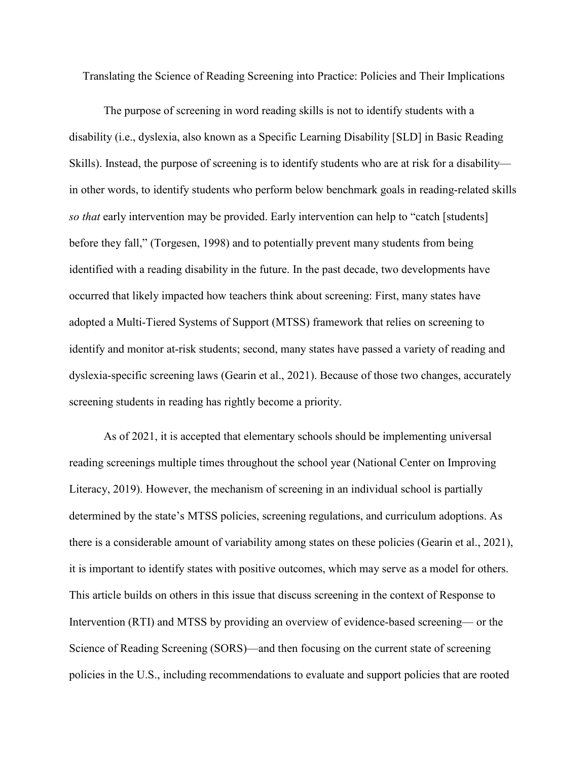Translating the Science of Reading Screening into Practice: Policies and Their Implications

The purpose of screening in word reading skills is not to identify students with a disability (i.e., dyslexia, also known as a Specific Learning Disability [SLD] in Basic Reading Skills). Instead, the purpose of screening is to identify students who are at risk for a disability in other words, to identify students who perform below benchmark goals in reading-related skills *so that* early intervention may be provided. Early intervention can help to "catch [students] before they fall," (Torgesen, 1998) and to potentially prevent many students from being identified with a reading disability in the future. In the past decade, two developments have occurred that likely impacted how teachers think about screening: First, many states have adopted a Multi-Tiered Systems of Support (MTSS) framework that relies on screening to identify and monitor at-risk students; second, many states have passed a variety of reading and dyslexia-specific screening laws (Gearin et al., 2021). Because of those two changes, accurately screening students in reading has rightly become a priority.

As of 2021, it is accepted that elementary schools should be implementing universal reading screenings multiple times throughout the school year (National Center on Improving Literacy, 2019). However, the mechanism of screening in an individual school is partially determined by the state's MTSS policies, screening regulations, and curriculum adoptions. As there is a considerable amount of variability among states on these policies (Gearin et al., 2021), it is important to identify states with positive outcomes, which may serve as a model for others. This article builds on others in this issue that discuss screening in the context of Response to Intervention (RTI) and MTSS by providing an overview of evidence-based screening— or the Science of Reading Screening (SORS)—and then focusing on the current state of screening policies in the U.S., including recommendations to evaluate and support policies that are rooted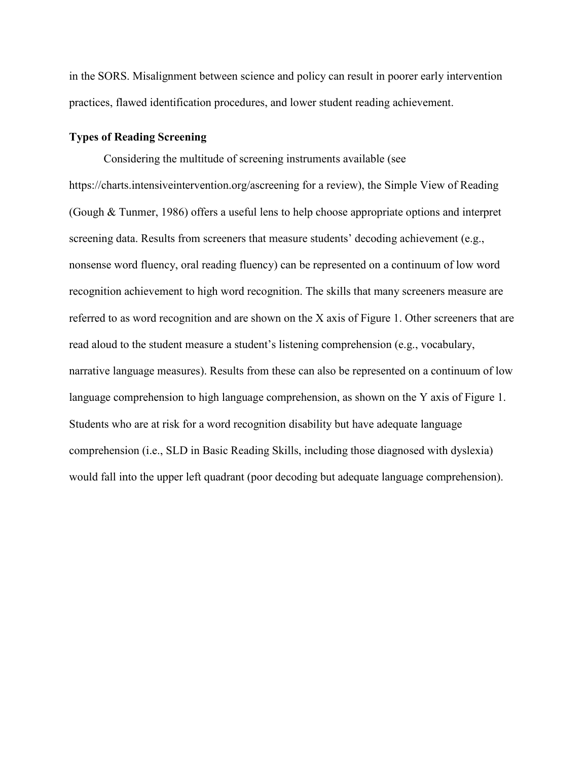in the SORS. Misalignment between science and policy can result in poorer early intervention practices, flawed identification procedures, and lower student reading achievement.

# **Types of Reading Screening**

Considering the multitude of screening instruments available (see https://charts.intensiveintervention.org/ascreening for a review), the Simple View of Reading (Gough & Tunmer, 1986) offers a useful lens to help choose appropriate options and interpret screening data. Results from screeners that measure students' decoding achievement (e.g., nonsense word fluency, oral reading fluency) can be represented on a continuum of low word recognition achievement to high word recognition. The skills that many screeners measure are referred to as word recognition and are shown on the X axis of Figure 1. Other screeners that are read aloud to the student measure a student's listening comprehension (e.g., vocabulary, narrative language measures). Results from these can also be represented on a continuum of low language comprehension to high language comprehension, as shown on the Y axis of Figure 1. Students who are at risk for a word recognition disability but have adequate language comprehension (i.e., SLD in Basic Reading Skills, including those diagnosed with dyslexia) would fall into the upper left quadrant (poor decoding but adequate language comprehension).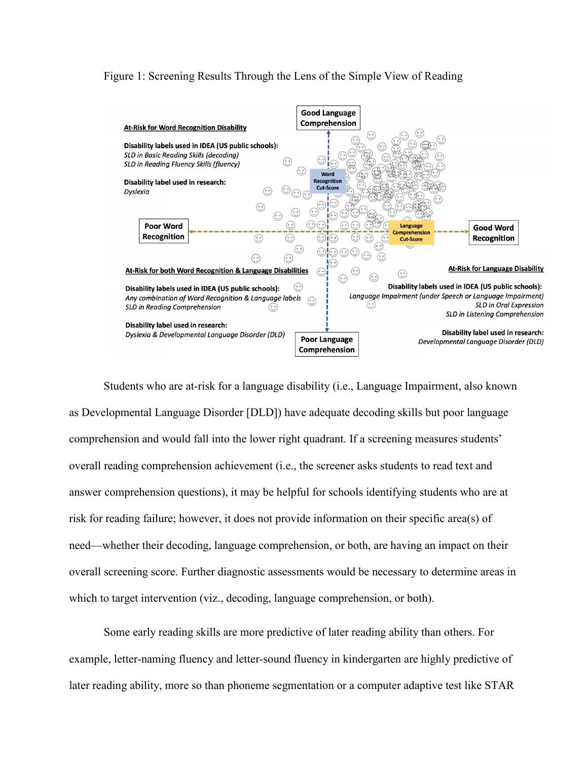# Figure 1: Screening Results Through the Lens of the Simple View of Reading



Students who are at-risk for a language disability (i.e., Language Impairment, also known as Developmental Language Disorder [DLD]) have adequate decoding skills but poor language comprehension and would fall into the lower right quadrant. If a screening measures students' overall reading comprehension achievement (i.e., the screener asks students to read text and answer comprehension questions), it may be helpful for schools identifying students who are at risk for reading failure; however, it does not provide information on their specific area(s) of need—whether their decoding, language comprehension, or both, are having an impact on their overall screening score. Further diagnostic assessments would be necessary to determine areas in which to target intervention (viz., decoding, language comprehension, or both).

Some early reading skills are more predictive of later reading ability than others. For example, letter-naming fluency and letter-sound fluency in kindergarten are highly predictive of later reading ability, more so than phoneme segmentation or a computer adaptive test like STAR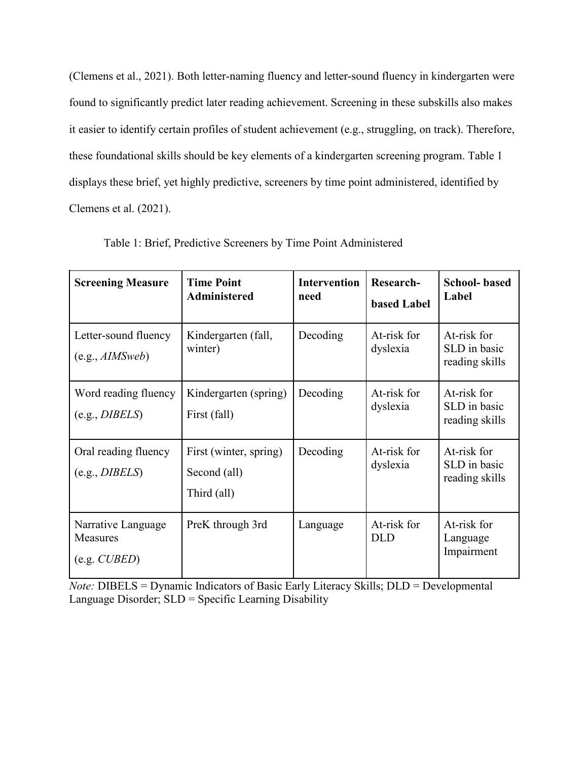(Clemens et al., 2021). Both letter-naming fluency and letter-sound fluency in kindergarten were found to significantly predict later reading achievement. Screening in these subskills also makes it easier to identify certain profiles of student achievement (e.g., struggling, on track). Therefore, these foundational skills should be key elements of a kindergarten screening program. Table 1 displays these brief, yet highly predictive, screeners by time point administered, identified by Clemens et al. (2021).

| <b>Screening Measure</b>                                  | <b>Time Point</b><br><b>Administered</b>              | <b>Intervention</b><br>need | <b>Research-</b><br><b>based Label</b> | <b>School-based</b><br>Label                  |
|-----------------------------------------------------------|-------------------------------------------------------|-----------------------------|----------------------------------------|-----------------------------------------------|
| Letter-sound fluency<br>(e.g., <i>AIMSweb</i> )           | Kindergarten (fall,<br>winter)                        | Decoding                    | At-risk for<br>dyslexia                | At-risk for<br>SLD in basic<br>reading skills |
| Word reading fluency<br>(e.g., DIBELS)                    | Kindergarten (spring)<br>First (fall)                 | Decoding                    | At-risk for<br>dyslexia                | At-risk for<br>SLD in basic<br>reading skills |
| Oral reading fluency<br>(e.g., DIBELS)                    | First (winter, spring)<br>Second (all)<br>Third (all) | Decoding                    | At-risk for<br>dyslexia                | At-risk for<br>SLD in basic<br>reading skills |
| Narrative Language<br>Measures<br>$(e.g. \mathit{CUBED})$ | PreK through 3rd                                      | Language                    | At-risk for<br><b>DLD</b>              | At-risk for<br>Language<br>Impairment         |

Table 1: Brief, Predictive Screeners by Time Point Administered

*Note:* DIBELS = Dynamic Indicators of Basic Early Literacy Skills; DLD = Developmental Language Disorder; SLD = Specific Learning Disability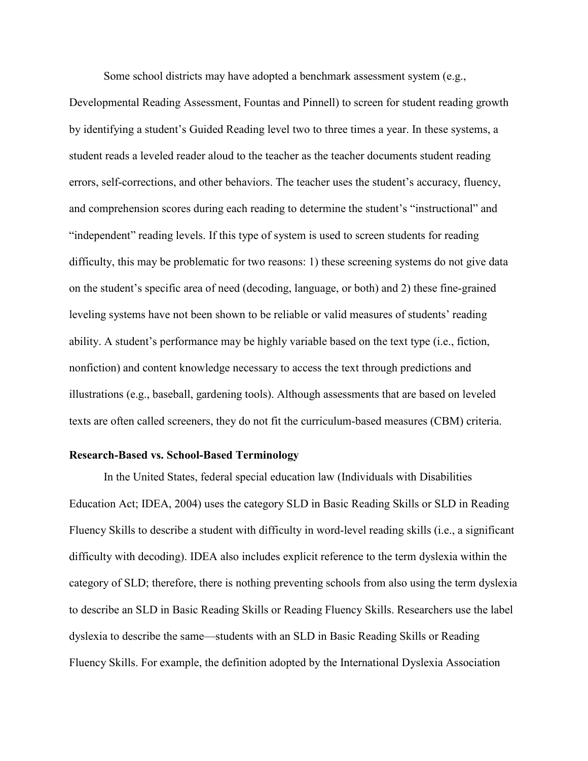Some school districts may have adopted a benchmark assessment system (e.g.,

Developmental Reading Assessment, Fountas and Pinnell) to screen for student reading growth by identifying a student's Guided Reading level two to three times a year. In these systems, a student reads a leveled reader aloud to the teacher as the teacher documents student reading errors, self-corrections, and other behaviors. The teacher uses the student's accuracy, fluency, and comprehension scores during each reading to determine the student's "instructional" and "independent" reading levels. If this type of system is used to screen students for reading difficulty, this may be problematic for two reasons: 1) these screening systems do not give data on the student's specific area of need (decoding, language, or both) and 2) these fine-grained leveling systems have not been shown to be reliable or valid measures of students' reading ability. A student's performance may be highly variable based on the text type (i.e., fiction, nonfiction) and content knowledge necessary to access the text through predictions and illustrations (e.g., baseball, gardening tools). Although assessments that are based on leveled texts are often called screeners, they do not fit the curriculum-based measures (CBM) criteria.

# **Research-Based vs. School-Based Terminology**

In the United States, federal special education law (Individuals with Disabilities Education Act; IDEA, 2004) uses the category SLD in Basic Reading Skills or SLD in Reading Fluency Skills to describe a student with difficulty in word-level reading skills (i.e., a significant difficulty with decoding). IDEA also includes explicit reference to the term dyslexia within the category of SLD; therefore, there is nothing preventing schools from also using the term dyslexia to describe an SLD in Basic Reading Skills or Reading Fluency Skills. Researchers use the label dyslexia to describe the same—students with an SLD in Basic Reading Skills or Reading Fluency Skills. For example, the definition adopted by the International Dyslexia Association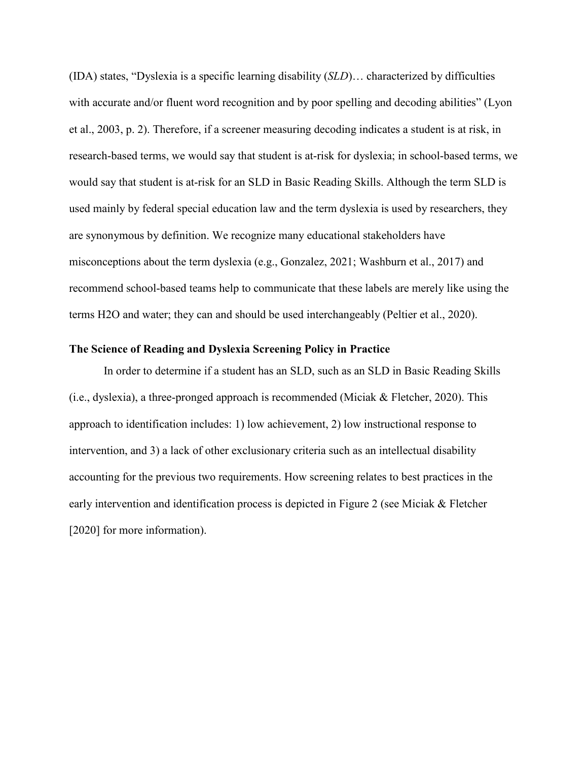(IDA) states, "Dyslexia is a specific learning disability (*SLD*)… characterized by difficulties with accurate and/or fluent word recognition and by poor spelling and decoding abilities" (Lyon et al., 2003, p. 2). Therefore, if a screener measuring decoding indicates a student is at risk, in research-based terms, we would say that student is at-risk for dyslexia; in school-based terms, we would say that student is at-risk for an SLD in Basic Reading Skills. Although the term SLD is used mainly by federal special education law and the term dyslexia is used by researchers, they are synonymous by definition. We recognize many educational stakeholders have misconceptions about the term dyslexia (e.g., Gonzalez, 2021; Washburn et al., 2017) and recommend school-based teams help to communicate that these labels are merely like using the terms H2O and water; they can and should be used interchangeably (Peltier et al., 2020).

# **The Science of Reading and Dyslexia Screening Policy in Practice**

In order to determine if a student has an SLD, such as an SLD in Basic Reading Skills (i.e., dyslexia), a three-pronged approach is recommended (Miciak & Fletcher, 2020). This approach to identification includes: 1) low achievement, 2) low instructional response to intervention, and 3) a lack of other exclusionary criteria such as an intellectual disability accounting for the previous two requirements. How screening relates to best practices in the early intervention and identification process is depicted in Figure 2 (see Miciak & Fletcher [2020] for more information).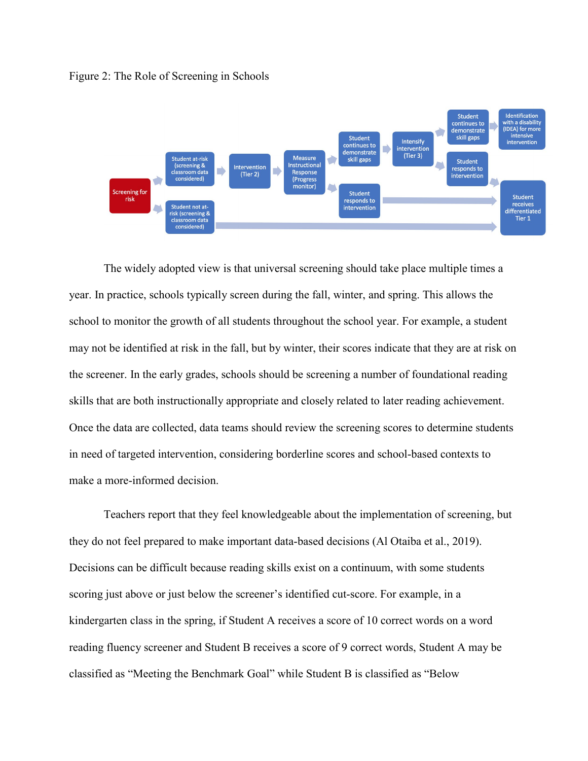#### Figure 2: The Role of Screening in Schools



The widely adopted view is that universal screening should take place multiple times a year. In practice, schools typically screen during the fall, winter, and spring. This allows the school to monitor the growth of all students throughout the school year. For example, a student may not be identified at risk in the fall, but by winter, their scores indicate that they are at risk on the screener. In the early grades, schools should be screening a number of foundational reading skills that are both instructionally appropriate and closely related to later reading achievement. Once the data are collected, data teams should review the screening scores to determine students in need of targeted intervention, considering borderline scores and school-based contexts to make a more-informed decision.

Teachers report that they feel knowledgeable about the implementation of screening, but they do not feel prepared to make important data-based decisions (Al Otaiba et al., 2019). Decisions can be difficult because reading skills exist on a continuum, with some students scoring just above or just below the screener's identified cut-score. For example, in a kindergarten class in the spring, if Student A receives a score of 10 correct words on a word reading fluency screener and Student B receives a score of 9 correct words, Student A may be classified as "Meeting the Benchmark Goal" while Student B is classified as "Below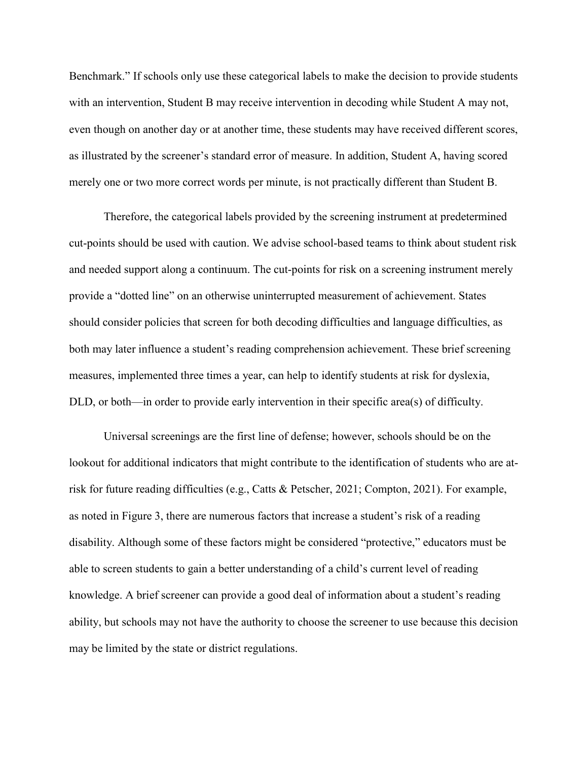Benchmark." If schools only use these categorical labels to make the decision to provide students with an intervention, Student B may receive intervention in decoding while Student A may not, even though on another day or at another time, these students may have received different scores, as illustrated by the screener's standard error of measure. In addition, Student A, having scored merely one or two more correct words per minute, is not practically different than Student B.

Therefore, the categorical labels provided by the screening instrument at predetermined cut-points should be used with caution. We advise school-based teams to think about student risk and needed support along a continuum. The cut-points for risk on a screening instrument merely provide a "dotted line" on an otherwise uninterrupted measurement of achievement. States should consider policies that screen for both decoding difficulties and language difficulties, as both may later influence a student's reading comprehension achievement. These brief screening measures, implemented three times a year, can help to identify students at risk for dyslexia, DLD, or both—in order to provide early intervention in their specific area(s) of difficulty.

Universal screenings are the first line of defense; however, schools should be on the lookout for additional indicators that might contribute to the identification of students who are atrisk for future reading difficulties (e.g., Catts & Petscher, 2021; Compton, 2021). For example, as noted in Figure 3, there are numerous factors that increase a student's risk of a reading disability. Although some of these factors might be considered "protective," educators must be able to screen students to gain a better understanding of a child's current level of reading knowledge. A brief screener can provide a good deal of information about a student's reading ability, but schools may not have the authority to choose the screener to use because this decision may be limited by the state or district regulations.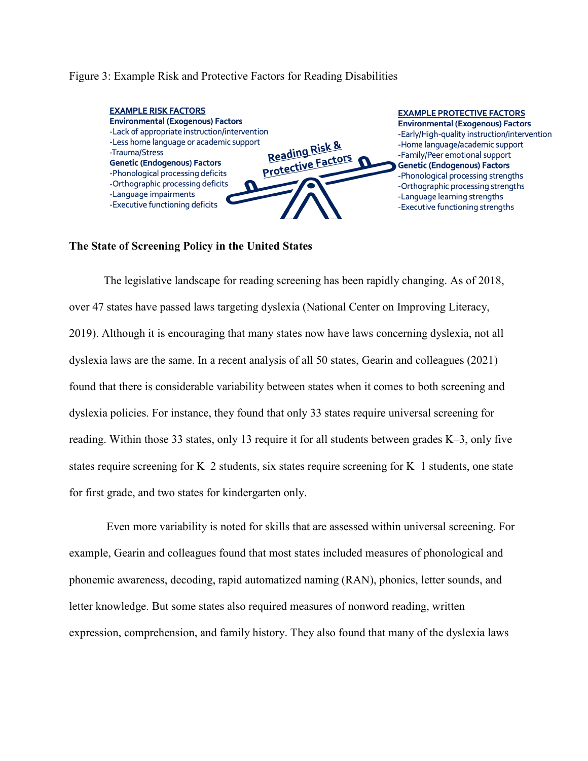# Figure 3: Example Risk and Protective Factors for Reading Disabilities



# **The State of Screening Policy in the United States**

The legislative landscape for reading screening has been rapidly changing. As of 2018, over 47 states have passed laws targeting dyslexia (National Center on Improving Literacy, 2019). Although it is encouraging that many states now have laws concerning dyslexia, not all dyslexia laws are the same. In a recent analysis of all 50 states, Gearin and colleagues (2021) found that there is considerable variability between states when it comes to both screening and dyslexia policies. For instance, they found that only 33 states require universal screening for reading. Within those 33 states, only 13 require it for all students between grades K–3, only five states require screening for K–2 students, six states require screening for K–1 students, one state for first grade, and two states for kindergarten only.

Even more variability is noted for skills that are assessed within universal screening. For example, Gearin and colleagues found that most states included measures of phonological and phonemic awareness, decoding, rapid automatized naming (RAN), phonics, letter sounds, and letter knowledge. But some states also required measures of nonword reading, written expression, comprehension, and family history. They also found that many of the dyslexia laws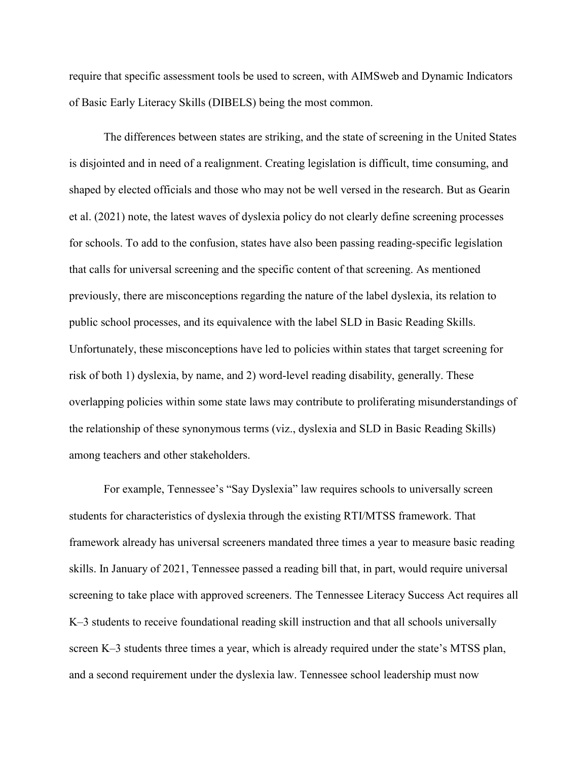require that specific assessment tools be used to screen, with AIMSweb and Dynamic Indicators of Basic Early Literacy Skills (DIBELS) being the most common.

The differences between states are striking, and the state of screening in the United States is disjointed and in need of a realignment. Creating legislation is difficult, time consuming, and shaped by elected officials and those who may not be well versed in the research. But as Gearin et al. (2021) note, the latest waves of dyslexia policy do not clearly define screening processes for schools. To add to the confusion, states have also been passing reading-specific legislation that calls for universal screening and the specific content of that screening. As mentioned previously, there are misconceptions regarding the nature of the label dyslexia, its relation to public school processes, and its equivalence with the label SLD in Basic Reading Skills. Unfortunately, these misconceptions have led to policies within states that target screening for risk of both 1) dyslexia, by name, and 2) word-level reading disability, generally. These overlapping policies within some state laws may contribute to proliferating misunderstandings of the relationship of these synonymous terms (viz., dyslexia and SLD in Basic Reading Skills) among teachers and other stakeholders.

For example, Tennessee's "Say Dyslexia" law requires schools to universally screen students for characteristics of dyslexia through the existing RTI/MTSS framework. That framework already has universal screeners mandated three times a year to measure basic reading skills. In January of 2021, Tennessee passed a reading bill that, in part, would require universal screening to take place with approved screeners. The Tennessee Literacy Success Act requires all K–3 students to receive foundational reading skill instruction and that all schools universally screen K–3 students three times a year, which is already required under the state's MTSS plan, and a second requirement under the dyslexia law. Tennessee school leadership must now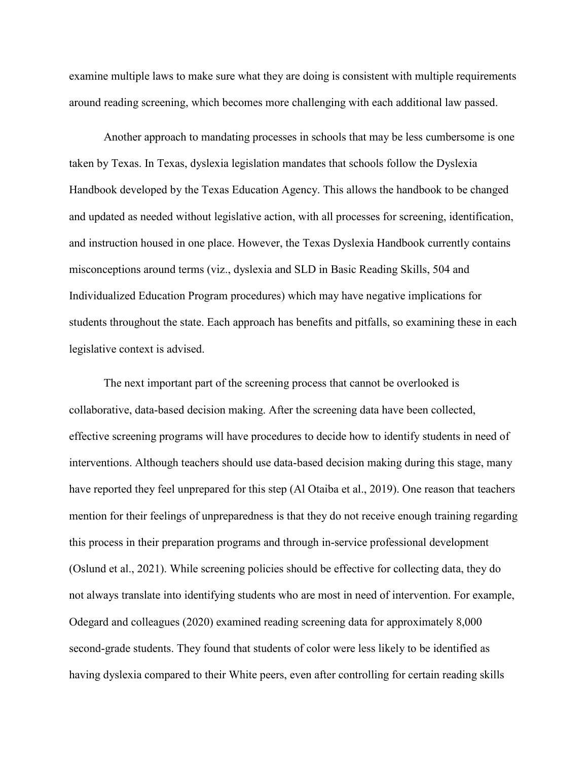examine multiple laws to make sure what they are doing is consistent with multiple requirements around reading screening, which becomes more challenging with each additional law passed.

Another approach to mandating processes in schools that may be less cumbersome is one taken by Texas. In Texas, dyslexia legislation mandates that schools follow the Dyslexia Handbook developed by the Texas Education Agency. This allows the handbook to be changed and updated as needed without legislative action, with all processes for screening, identification, and instruction housed in one place. However, the Texas Dyslexia Handbook currently contains misconceptions around terms (viz., dyslexia and SLD in Basic Reading Skills, 504 and Individualized Education Program procedures) which may have negative implications for students throughout the state. Each approach has benefits and pitfalls, so examining these in each legislative context is advised.

The next important part of the screening process that cannot be overlooked is collaborative, data-based decision making. After the screening data have been collected, effective screening programs will have procedures to decide how to identify students in need of interventions. Although teachers should use data-based decision making during this stage, many have reported they feel unprepared for this step (Al Otaiba et al., 2019). One reason that teachers mention for their feelings of unpreparedness is that they do not receive enough training regarding this process in their preparation programs and through in-service professional development (Oslund et al., 2021). While screening policies should be effective for collecting data, they do not always translate into identifying students who are most in need of intervention. For example, Odegard and colleagues (2020) examined reading screening data for approximately 8,000 second-grade students. They found that students of color were less likely to be identified as having dyslexia compared to their White peers, even after controlling for certain reading skills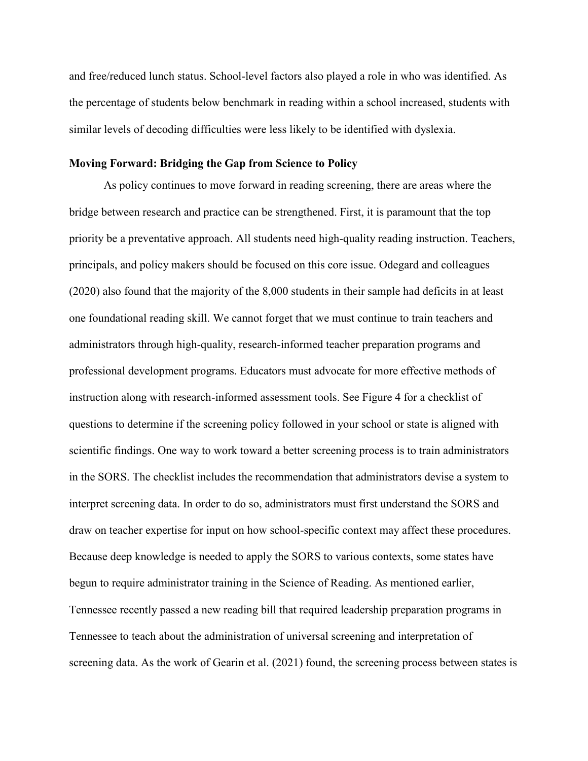and free/reduced lunch status. School-level factors also played a role in who was identified. As the percentage of students below benchmark in reading within a school increased, students with similar levels of decoding difficulties were less likely to be identified with dyslexia.

# **Moving Forward: Bridging the Gap from Science to Policy**

As policy continues to move forward in reading screening, there are areas where the bridge between research and practice can be strengthened. First, it is paramount that the top priority be a preventative approach. All students need high-quality reading instruction. Teachers, principals, and policy makers should be focused on this core issue. Odegard and colleagues (2020) also found that the majority of the 8,000 students in their sample had deficits in at least one foundational reading skill. We cannot forget that we must continue to train teachers and administrators through high-quality, research-informed teacher preparation programs and professional development programs. Educators must advocate for more effective methods of instruction along with research-informed assessment tools. See Figure 4 for a checklist of questions to determine if the screening policy followed in your school or state is aligned with scientific findings. One way to work toward a better screening process is to train administrators in the SORS. The checklist includes the recommendation that administrators devise a system to interpret screening data. In order to do so, administrators must first understand the SORS and draw on teacher expertise for input on how school-specific context may affect these procedures. Because deep knowledge is needed to apply the SORS to various contexts, some states have begun to require administrator training in the Science of Reading. As mentioned earlier, Tennessee recently passed a new reading bill that required leadership preparation programs in Tennessee to teach about the administration of universal screening and interpretation of screening data. As the work of Gearin et al. (2021) found, the screening process between states is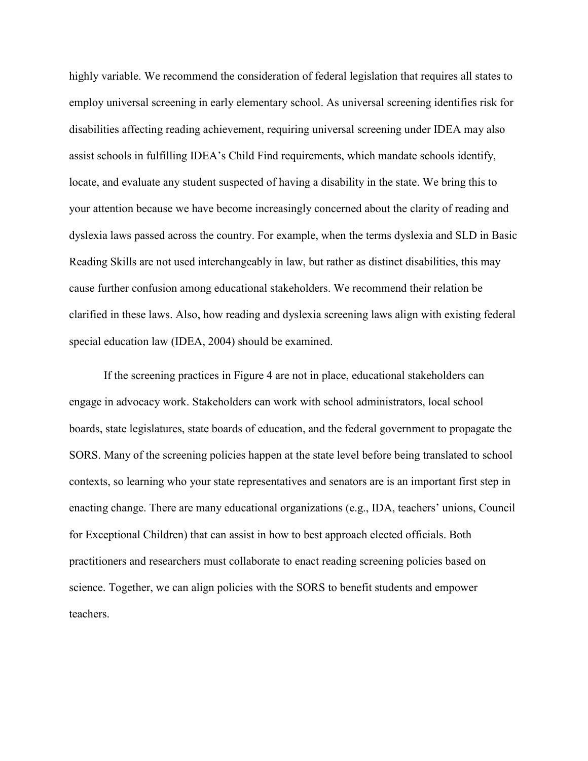highly variable. We recommend the consideration of federal legislation that requires all states to employ universal screening in early elementary school. As universal screening identifies risk for disabilities affecting reading achievement, requiring universal screening under IDEA may also assist schools in fulfilling IDEA's Child Find requirements, which mandate schools identify, locate, and evaluate any student suspected of having a disability in the state. We bring this to your attention because we have become increasingly concerned about the clarity of reading and dyslexia laws passed across the country. For example, when the terms dyslexia and SLD in Basic Reading Skills are not used interchangeably in law, but rather as distinct disabilities, this may cause further confusion among educational stakeholders. We recommend their relation be clarified in these laws. Also, how reading and dyslexia screening laws align with existing federal special education law (IDEA, 2004) should be examined.

If the screening practices in Figure 4 are not in place, educational stakeholders can engage in advocacy work. Stakeholders can work with school administrators, local school boards, state legislatures, state boards of education, and the federal government to propagate the SORS. Many of the screening policies happen at the state level before being translated to school contexts, so learning who your state representatives and senators are is an important first step in enacting change. There are many educational organizations (e.g., IDA, teachers' unions, Council for Exceptional Children) that can assist in how to best approach elected officials. Both practitioners and researchers must collaborate to enact reading screening policies based on science. Together, we can align policies with the SORS to benefit students and empower teachers.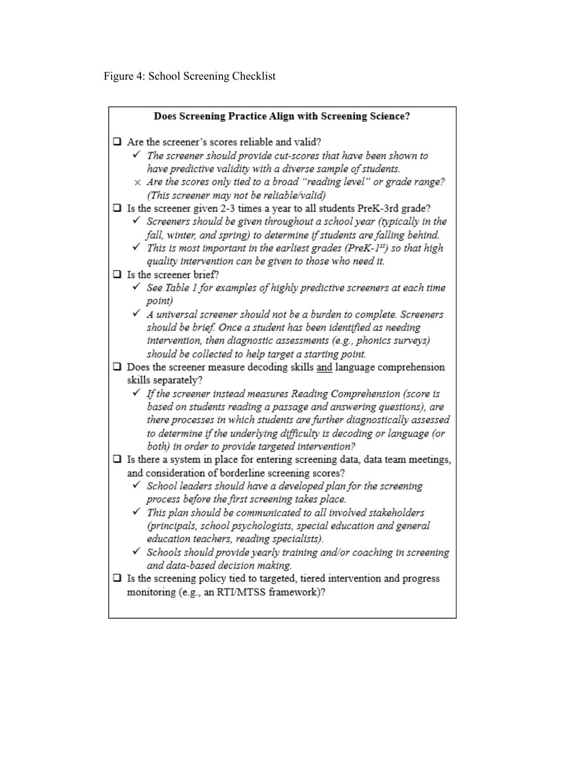Figure 4: School Screening Checklist

| Does Screening Practice Align with Screening Science?                                                                                         |  |  |  |  |
|-----------------------------------------------------------------------------------------------------------------------------------------------|--|--|--|--|
|                                                                                                                                               |  |  |  |  |
| $\Box$ Are the screener's scores reliable and valid?                                                                                          |  |  |  |  |
| $\checkmark$ The screener should provide cut-scores that have been shown to                                                                   |  |  |  |  |
| have predictive validity with a diverse sample of students.                                                                                   |  |  |  |  |
| $\times$ Are the scores only tied to a broad "reading level" or grade range?                                                                  |  |  |  |  |
| (This screener may not be reliable/valid)                                                                                                     |  |  |  |  |
| $\Box$ Is the screener given 2-3 times a year to all students PreK-3rd grade?                                                                 |  |  |  |  |
| $\checkmark$ Screeners should be given throughout a school year (typically in the                                                             |  |  |  |  |
| fall, winter, and spring) to determine if students are falling behind.                                                                        |  |  |  |  |
| $\checkmark$ This is most important in the earliest grades (PreK-1st) so that high<br>quality intervention can be given to those who need it. |  |  |  |  |
| $\Box$ Is the screener brief?                                                                                                                 |  |  |  |  |
| $\checkmark$ See Table 1 for examples of highly predictive screeners at each time                                                             |  |  |  |  |
| point)                                                                                                                                        |  |  |  |  |
| $\checkmark$ A universal screener should not be a burden to complete. Screeners                                                               |  |  |  |  |
| should be brief. Once a student has been identified as needing                                                                                |  |  |  |  |
| intervention, then diagnostic assessments (e.g., phonics surveys)                                                                             |  |  |  |  |
| should be collected to help target a starting point.                                                                                          |  |  |  |  |
| $\square$ Does the screener measure decoding skills and language comprehension                                                                |  |  |  |  |
| skills separately?                                                                                                                            |  |  |  |  |
| $\checkmark$ If the screener instead measures Reading Comprehension (score is                                                                 |  |  |  |  |
| based on students reading a passage and answering questions), are                                                                             |  |  |  |  |
| there processes in which students are further diagnostically assessed                                                                         |  |  |  |  |
| to determine if the underlying difficulty is decoding or language (or                                                                         |  |  |  |  |
| both) in order to provide targeted intervention?                                                                                              |  |  |  |  |
| $\Box$ Is there a system in place for entering screening data, data team meetings,                                                            |  |  |  |  |
| and consideration of borderline screening scores?                                                                                             |  |  |  |  |
| $\checkmark$ School leaders should have a developed plan for the screening<br>process before the first screening takes place.                 |  |  |  |  |
| $\checkmark$ This plan should be communicated to all involved stakeholders                                                                    |  |  |  |  |
| (principals, school psychologists, special education and general                                                                              |  |  |  |  |
| education teachers, reading specialists).                                                                                                     |  |  |  |  |
| $\checkmark$ Schools should provide yearly training and/or coaching in screening                                                              |  |  |  |  |
| and data-based decision making.                                                                                                               |  |  |  |  |
| $\square$ Is the screening policy tied to targeted, tiered intervention and progress                                                          |  |  |  |  |
| monitoring (e.g., an RTI/MTSS framework)?                                                                                                     |  |  |  |  |
|                                                                                                                                               |  |  |  |  |
|                                                                                                                                               |  |  |  |  |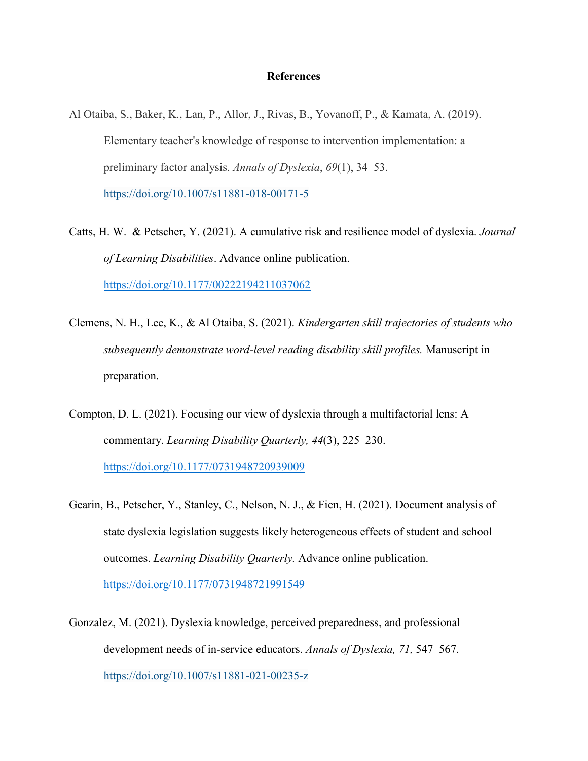# **References**

- Al Otaiba, S., Baker, K., Lan, P., Allor, J., Rivas, B., Yovanoff, P., & Kamata, A. (2019). Elementary teacher's knowledge of response to intervention implementation: a preliminary factor analysis. *Annals of Dyslexia*, *69*(1), 34–53[.](about:blank) <https://doi.org/10.1007/s11881-018-00171-5>
- Catts, H. W. & Petscher, Y. (2021). A cumulative risk and resilience model of dyslexia. *Journal of Learning Disabilities*. Advance online publication. [https://doi.org/10.1177/00222194211037062](https://doi.org/10.1177%2F00222194211037062)
- Clemens, N. H., Lee, K., & Al Otaiba, S. (2021). *Kindergarten skill trajectories of students who subsequently demonstrate word-level reading disability skill profiles.* Manuscript in preparation.
- Compton, D. L. (2021). Focusing our view of dyslexia through a multifactorial lens: A commentary. *Learning Disability Quarterly, 44*(3), 225–230. [https://doi.org/10.1177/0731948720939009](https://doi.org/10.1177%2F0731948720939009)
- Gearin, B., Petscher, Y., Stanley, C., Nelson, N. J., & Fien, H. (2021). Document analysis of state dyslexia legislation suggests likely heterogeneous effects of student and school outcomes. *Learning Disability Quarterly.* Advance online publication. [https://doi.org/10.1177/0731948721991549](https://doi.org/10.1177%2F0731948721991549)
- Gonzalez, M. (2021). Dyslexia knowledge, perceived preparedness, and professional development needs of in-service educators. *Annals of Dyslexia, 71,* 547–567. https://doi.org/10.1007/s11881-021-00235-z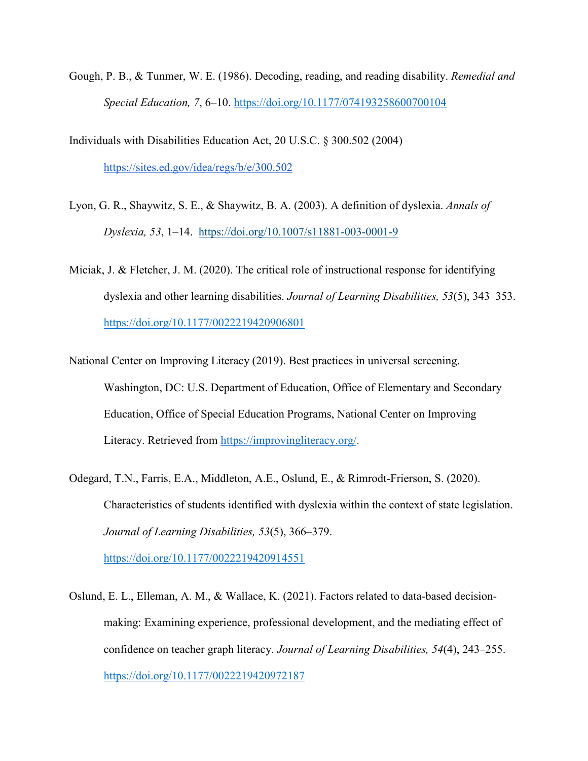Gough, P. B., & Tunmer, W. E. (1986). Decoding, reading, and reading disability. *Remedial and Special Education, 7*, 6–10. [https://doi.org/10.1177/074193258600700104](https://doi.org/10.1177%2F074193258600700104)

Individuals with Disabilities Education Act, 20 U.S.C. § 300.502 (2004) [https://sites.ed.gov/idea/regs/b/e/300.502](about:blank)

- Lyon, G. R., Shaywitz, S. E., & Shaywitz, B. A. (2003). A definition of dyslexia. *Annals of Dyslexia, 53*, 1–14. <https://doi.org/10.1007/s11881-003-0001-9>
- Miciak, J. & Fletcher, J. M. (2020). The critical role of instructional response for identifying dyslexia and other learning disabilities. *Journal of Learning Disabilities, 53*(5), 343–353. [https://doi.org/10.1177/0022219420906801](https://doi.org/10.1177%2F0022219420906801)
- National Center on Improving [Literacy](about:blank) (2019). Best practices in universal screening. Washington, DC: U.S. Department of Education, Office of Elementary and Secondary Education, Office of Special Education Programs, National Center on Improving Literacy. Retrieved from [https://improvingliteracy.org/.](https://improvingliteracy.org/)
- Odegard, T.N., Farris, E.A., Middleton, A.E., Oslund, E., & Rimrodt-Frierson, S. (2020). Characteristics of students identified with dyslexia within the context of state legislation. *Journal of Learning Disabilities, 53*(5), 366–379.

[https://doi.org/10.1177/0022219420914551](https://doi.org/10.1177%2F0022219420914551)

Oslund, E. L., Elleman, A. M., & Wallace, K. (2021). Factors related to data-based decisionmaking: Examining experience, professional development, and the mediating effect of confidence on teacher graph literacy. *Journal of Learning Disabilities, 54*(4), 243–255. [https://doi.org/10.1177/0022219420972187](https://doi.org/10.1177%2F0022219420972187)